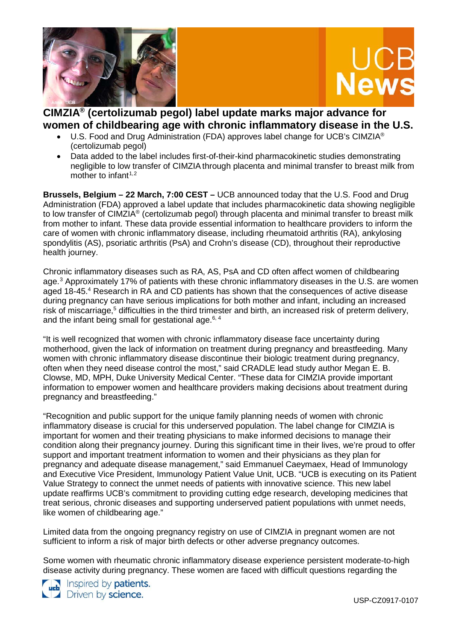

# **News**

# **CIMZIA® (certolizumab pegol) label update marks major advance for women of childbearing age with chronic inflammatory disease in the U.S.**

- U.S. Food and Drug Administration (FDA) approves label change for UCB's CIMZIA® (certolizumab pegol)
- Data added to the label includes first-of-their-kind pharmacokinetic studies demonstrating negligible to low transfer of CIMZIA through placenta and minimal transfer to breast milk from mother to infant $1,2$  $1,2$  $1,2$

**Brussels, Belgium – 22 March, 7:00 CEST –** UCB announced today that the U.S. Food and Drug Administration (FDA) approved a label update that includes pharmacokinetic data showing negligible to low transfer of CIMZIA® (certolizumab pegol) through placenta and minimal transfer to breast milk from mother to infant. These data provide essential information to healthcare providers to inform the care of women with chronic inflammatory disease, including rheumatoid arthritis (RA), ankylosing spondylitis (AS), psoriatic arthritis (PsA) and Crohn's disease (CD), throughout their reproductive health journey.

Chronic inflammatory diseases such as RA, AS, PsA and CD often affect women of childbearing age. [3](#page-10-2) Approximately 17% of patients with these chronic inflammatory diseases in the U.S. are women aged 18-45. <sup>4</sup> Research in RA and CD patients has shown that the consequences of active disease during pregnancy can have serious implications for both mother and infant, including an increased risk of miscarriage,<sup>5</sup> difficulties in the third trimester and birth, an increased risk of preterm delivery, and the infant being small for gestational age.<sup>6, 4</sup>

"It is well recognized that women with chronic inflammatory disease face uncertainty during motherhood, given the lack of information on treatment during pregnancy and breastfeeding. Many women with chronic inflammatory disease discontinue their biologic treatment during pregnancy, often when they need disease control the most," said CRADLE lead study author Megan E. B. Clowse, MD, MPH, Duke University Medical Center. "These data for CIMZIA provide important information to empower women and healthcare providers making decisions about treatment during pregnancy and breastfeeding."

"Recognition and public support for the unique family planning needs of women with chronic inflammatory disease is crucial for this underserved population. The label change for CIMZIA is important for women and their treating physicians to make informed decisions to manage their condition along their pregnancy journey. During this significant time in their lives, we're proud to offer support and important treatment information to women and their physicians as they plan for pregnancy and adequate disease management," said Emmanuel Caeymaex, Head of Immunology and Executive Vice President, Immunology Patient Value Unit, UCB. "UCB is executing on its Patient Value Strategy to connect the unmet needs of patients with innovative science. This new label update reaffirms UCB's commitment to providing cutting edge research, developing medicines that treat serious, chronic diseases and supporting underserved patient populations with unmet needs, like women of childbearing age."

Limited data from the ongoing pregnancy registry on use of CIMZIA in pregnant women are not sufficient to inform a risk of major birth defects or other adverse pregnancy outcomes.

Some women with rheumatic chronic inflammatory disease experience persistent moderate-to-high disease activity during pregnancy. These women are faced with difficult questions regarding the<br>
Inspired by **patients**.



Driven by science.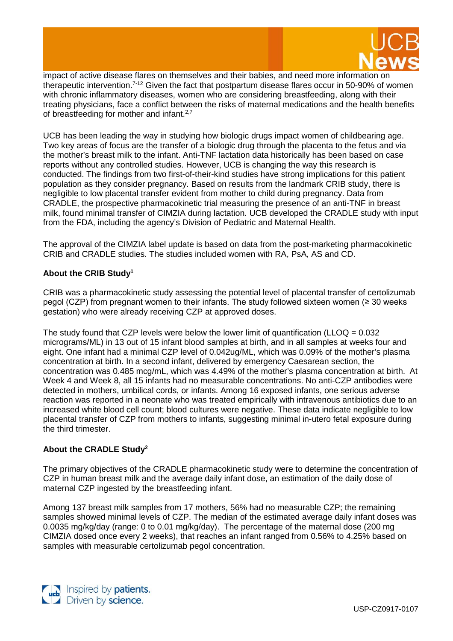

impact of active disease flares on themselves and their babies, and need more information on therapeutic intervention.<sup>7-12</sup> Given the fact that postpartum disease flares occur in 50-90% of women with chronic inflammatory diseases, women who are considering breastfeeding, along with their treating physicians, face a conflict between the risks of maternal medications and the health benefits of breastfeeding for mother and infant.<sup>2,7</sup>

UCB has been leading the way in studying how biologic drugs impact women of childbearing age. Two key areas of focus are the transfer of a biologic drug through the placenta to the fetus and via the mother's breast milk to the infant. Anti-TNF lactation data historically has been based on case reports without any controlled studies. However, UCB is changing the way this research is conducted. The findings from two first-of-their-kind studies have strong implications for this patient population as they consider pregnancy. Based on results from the landmark CRIB study, there is negligible to low placental transfer evident from mother to child during pregnancy. Data from CRADLE, the prospective pharmacokinetic trial measuring the presence of an anti-TNF in breast milk, found minimal transfer of CIMZIA during lactation. UCB developed the CRADLE study with input from the FDA, including the agency's Division of Pediatric and Maternal Health.

The approval of the CIMZIA label update is based on data from the post-marketing pharmacokinetic CRIB and CRADLE studies. The studies included women with RA, PsA, AS and CD.

### **About the CRIB Study1**

CRIB was a pharmacokinetic study assessing the potential level of placental transfer of certolizumab pegol (CZP) from pregnant women to their infants. The study followed sixteen women (≥ 30 weeks gestation) who were already receiving CZP at approved doses.

The study found that CZP levels were below the lower limit of quantification (LLOQ =  $0.032$ ) micrograms/ML) in 13 out of 15 infant blood samples at birth, and in all samples at weeks four and eight. One infant had a minimal CZP level of 0.042ug/ML, which was 0.09% of the mother's plasma concentration at birth. In a second infant, delivered by emergency Caesarean section, the concentration was 0.485 mcg/mL, which was 4.49% of the mother's plasma concentration at birth. At Week 4 and Week 8, all 15 infants had no measurable concentrations. No anti-CZP antibodies were detected in mothers, umbilical cords, or infants. Among 16 exposed infants, one serious adverse reaction was reported in a neonate who was treated empirically with intravenous antibiotics due to an increased white blood cell count; blood cultures were negative. These data indicate negligible to low placental transfer of CZP from mothers to infants, suggesting minimal in-utero fetal exposure during the third trimester.

### **About the CRADLE Study2**

The primary objectives of the CRADLE pharmacokinetic study were to determine the concentration of CZP in human breast milk and the average daily infant dose, an estimation of the daily dose of maternal CZP ingested by the breastfeeding infant.

Among 137 breast milk samples from 17 mothers, 56% had no measurable CZP; the remaining samples showed minimal levels of CZP. The median of the estimated average daily infant doses was 0.0035 mg/kg/day (range: 0 to 0.01 mg/kg/day). The percentage of the maternal dose (200 mg CIMZIA dosed once every 2 weeks), that reaches an infant ranged from 0.56% to 4.25% based on samples with measurable certolizumab pegol concentration.

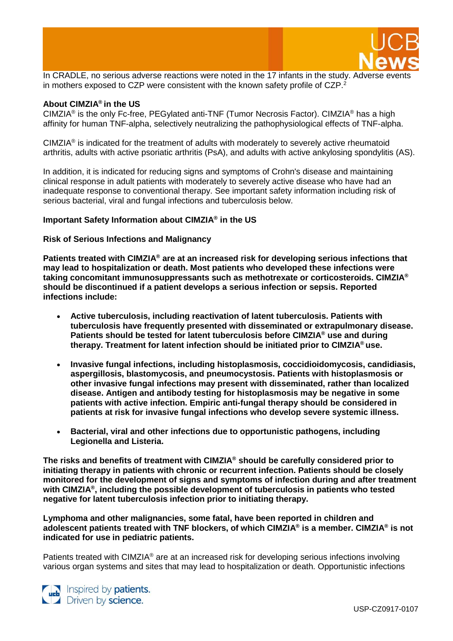

In CRADLE, no serious adverse reactions were noted in the 17 infants in the study. Adverse in mothers exposed to CZP were consistent with the known safety profile of CZP.2

### **About CIMZIA® in the US**

CIMZIA® is the only Fc-free, PEGylated anti-TNF (Tumor Necrosis Factor). CIMZIA® has a high affinity for human TNF-alpha, selectively neutralizing the pathophysiological effects of TNF-alpha.

 $CIMZIA<sup>®</sup>$  is indicated for the treatment of adults with moderately to severely active rheumatoid arthritis, adults with active psoriatic arthritis (PsA), and adults with active ankylosing spondylitis (AS).

In addition, it is indicated for reducing signs and symptoms of Crohn's disease and maintaining clinical response in adult patients with moderately to severely active disease who have had an inadequate response to conventional therapy. See important safety information including risk of serious bacterial, viral and fungal infections and tuberculosis below.

### **Important Safety Information about CIMZIA® in the US**

### **Risk of Serious Infections and Malignancy**

**Patients treated with CIMZIA® are at an increased risk for developing serious infections that may lead to hospitalization or death. Most patients who developed these infections were taking concomitant immunosuppressants such as methotrexate or corticosteroids. CIMZIA® should be discontinued if a patient develops a serious infection or sepsis. Reported infections include:**

- **Active tuberculosis, including reactivation of latent tuberculosis. Patients with tuberculosis have frequently presented with disseminated or extrapulmonary disease. Patients should be tested for latent tuberculosis before CIMZIA® use and during therapy. Treatment for latent infection should be initiated prior to CIMZIA® use.**
- **Invasive fungal infections, including histoplasmosis, coccidioidomycosis, candidiasis, aspergillosis, blastomycosis, and pneumocystosis. Patients with histoplasmosis or other invasive fungal infections may present with disseminated, rather than localized disease. Antigen and antibody testing for histoplasmosis may be negative in some patients with active infection. Empiric anti-fungal therapy should be considered in patients at risk for invasive fungal infections who develop severe systemic illness.**
- **Bacterial, viral and other infections due to opportunistic pathogens, including Legionella and Listeria.**

**The risks and benefits of treatment with CIMZIA® should be carefully considered prior to initiating therapy in patients with chronic or recurrent infection. Patients should be closely monitored for the development of signs and symptoms of infection during and after treatment with CIMZIA®, including the possible development of tuberculosis in patients who tested negative for latent tuberculosis infection prior to initiating therapy.**

**Lymphoma and other malignancies, some fatal, have been reported in children and adolescent patients treated with TNF blockers, of which CIMZIA® is a member. CIMZIA® is not indicated for use in pediatric patients.**

Patients treated with CIMZIA® are at an increased risk for developing serious infections involving various organ systems and sites that may lead to hospitalization or death. Opportunistic infections

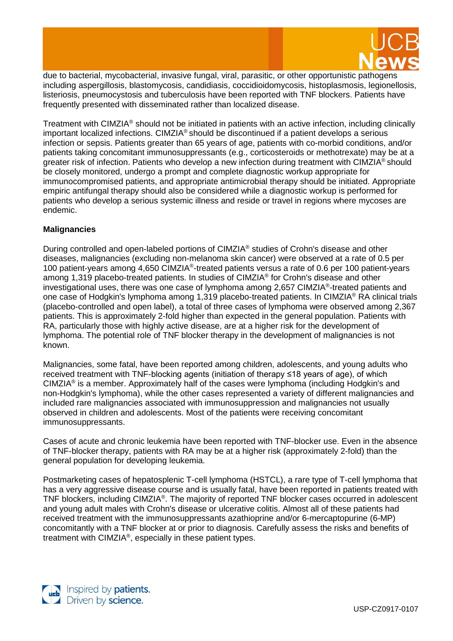

due to bacterial, mycobacterial, invasive fungal, viral, parasitic, or other opportunistic pathogens including aspergillosis, blastomycosis, candidiasis, coccidioidomycosis, histoplasmosis, legionellosis, listeriosis, pneumocystosis and tuberculosis have been reported with TNF blockers. Patients have frequently presented with disseminated rather than localized disease.

Treatment with CIMZIA® should not be initiated in patients with an active infection, including clinically important localized infections. CIMZIA® should be discontinued if a patient develops a serious infection or sepsis. Patients greater than 65 years of age, patients with co-morbid conditions, and/or patients taking concomitant immunosuppressants (e.g., corticosteroids or methotrexate) may be at a greater risk of infection. Patients who develop a new infection during treatment with CIMZIA® should be closely monitored, undergo a prompt and complete diagnostic workup appropriate for immunocompromised patients, and appropriate antimicrobial therapy should be initiated. Appropriate empiric antifungal therapy should also be considered while a diagnostic workup is performed for patients who develop a serious systemic illness and reside or travel in regions where mycoses are endemic.

### **Malignancies**

During controlled and open-labeled portions of CIMZIA® studies of Crohn's disease and other diseases, malignancies (excluding non-melanoma skin cancer) were observed at a rate of 0.5 per 100 patient-years among 4,650 CIMZIA®-treated patients versus a rate of 0.6 per 100 patient-years among 1,319 placebo-treated patients. In studies of CIMZIA® for Crohn's disease and other investigational uses, there was one case of lymphoma among 2,657 CIMZIA®-treated patients and one case of Hodgkin's lymphoma among 1,319 placebo-treated patients. In CIMZIA® RA clinical trials (placebo-controlled and open label), a total of three cases of lymphoma were observed among 2,367 patients. This is approximately 2-fold higher than expected in the general population. Patients with RA, particularly those with highly active disease, are at a higher risk for the development of lymphoma. The potential role of TNF blocker therapy in the development of malignancies is not known.

Malignancies, some fatal, have been reported among children, adolescents, and young adults who received treatment with TNF-blocking agents (initiation of therapy ≤18 years of age), of which  $CIMZIA<sup>®</sup>$  is a member. Approximately half of the cases were lymphoma (including Hodgkin's and non-Hodgkin's lymphoma), while the other cases represented a variety of different malignancies and included rare malignancies associated with immunosuppression and malignancies not usually observed in children and adolescents. Most of the patients were receiving concomitant immunosuppressants.

Cases of acute and chronic leukemia have been reported with TNF-blocker use. Even in the absence of TNF-blocker therapy, patients with RA may be at a higher risk (approximately 2-fold) than the general population for developing leukemia.

Postmarketing cases of hepatosplenic T-cell lymphoma (HSTCL), a rare type of T-cell lymphoma that has a very aggressive disease course and is usually fatal, have been reported in patients treated with TNF blockers, including CIMZIA®. The majority of reported TNF blocker cases occurred in adolescent and young adult males with Crohn's disease or ulcerative colitis. Almost all of these patients had received treatment with the immunosuppressants azathioprine and/or 6-mercaptopurine (6-MP) concomitantly with a TNF blocker at or prior to diagnosis. Carefully assess the risks and benefits of treatment with CIMZIA®, especially in these patient types.

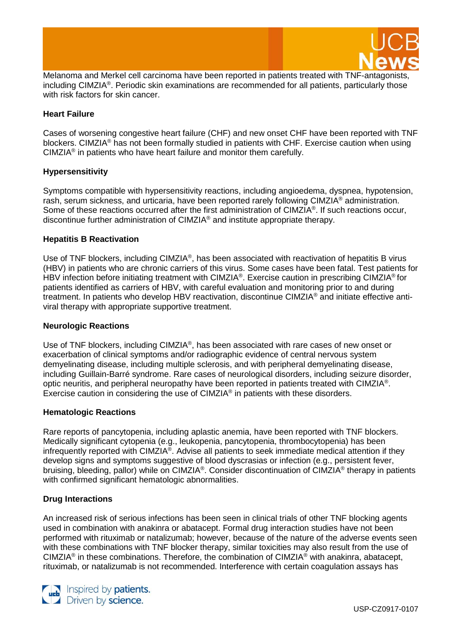

Melanoma and Merkel cell carcinoma have been reported in patients treated with TNF-antagonists, including CIMZIA®. Periodic skin examinations are recommended for all patients, particularly those with risk factors for skin cancer.

### **Heart Failure**

Cases of worsening congestive heart failure (CHF) and new onset CHF have been reported with TNF blockers. CIMZIA® has not been formally studied in patients with CHF. Exercise caution when using CIMZIA® in patients who have heart failure and monitor them carefully.

### **Hypersensitivity**

Symptoms compatible with hypersensitivity reactions, including angioedema, dyspnea, hypotension, rash, serum sickness, and urticaria, have been reported rarely following CIMZIA® administration. Some of these reactions occurred after the first administration of CIMZIA®. If such reactions occur, discontinue further administration of CIMZIA® and institute appropriate therapy.

### **Hepatitis B Reactivation**

Use of TNF blockers, including CIMZIA<sup>®</sup>, has been associated with reactivation of hepatitis B virus (HBV) in patients who are chronic carriers of this virus. Some cases have been fatal. Test patients for HBV infection before initiating treatment with CIMZIA®. Exercise caution in prescribing CIMZIA® for patients identified as carriers of HBV, with careful evaluation and monitoring prior to and during treatment. In patients who develop HBV reactivation, discontinue CIMZIA® and initiate effective antiviral therapy with appropriate supportive treatment.

### **Neurologic Reactions**

Use of TNF blockers, including CIMZIA®, has been associated with rare cases of new onset or exacerbation of clinical symptoms and/or radiographic evidence of central nervous system demyelinating disease, including multiple sclerosis, and with peripheral demyelinating disease, including Guillain-Barré syndrome. Rare cases of neurological disorders, including seizure disorder, optic neuritis, and peripheral neuropathy have been reported in patients treated with CIMZIA®. Exercise caution in considering the use of CIMZIA® in patients with these disorders.

### **Hematologic Reactions**

Rare reports of pancytopenia, including aplastic anemia, have been reported with TNF blockers. Medically significant cytopenia (e.g., leukopenia, pancytopenia, thrombocytopenia) has been infrequently reported with CIMZIA®. Advise all patients to seek immediate medical attention if they develop signs and symptoms suggestive of blood dyscrasias or infection (e.g., persistent fever, bruising, bleeding, pallor) while on CIMZIA®. Consider discontinuation of CIMZIA® therapy in patients with confirmed significant hematologic abnormalities.

### **Drug Interactions**

An increased risk of serious infections has been seen in clinical trials of other TNF blocking agents used in combination with anakinra or abatacept. Formal drug interaction studies have not been performed with rituximab or natalizumab; however, because of the nature of the adverse events seen with these combinations with TNF blocker therapy, similar toxicities may also result from the use of CIMZIA<sup>®</sup> in these combinations. Therefore, the combination of CIMZIA<sup>®</sup> with anakinra, abatacept, rituximab, or natalizumab is not recommended. Interference with certain coagulation assays has

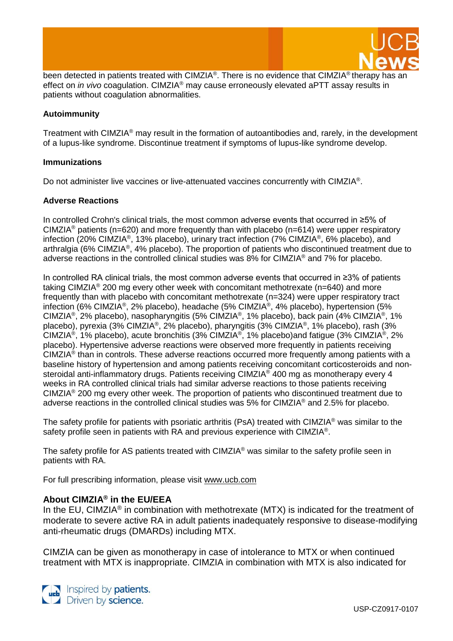

been detected in patients treated with CIMZIA®. There is no evidence that CIMZIA® therapy has effect on *in vivo* coagulation. CIMZIA® may cause erroneously elevated aPTT assay results in patients without coagulation abnormalities.

### **Autoimmunity**

Treatment with CIMZIA® may result in the formation of autoantibodies and, rarely, in the development of a lupus-like syndrome. Discontinue treatment if symptoms of lupus-like syndrome develop.

### **Immunizations**

Do not administer live vaccines or live-attenuated vaccines concurrently with CIMZIA<sup>®</sup>.

### **Adverse Reactions**

In controlled Crohn's clinical trials, the most common adverse events that occurred in ≥5% of CIMZIA<sup>®</sup> patients (n=620) and more frequently than with placebo (n=614) were upper respiratory infection (20% CIMZIA®, 13% placebo), urinary tract infection (7% CIMZIA®, 6% placebo), and arthralgia (6% CIMZIA®, 4% placebo). The proportion of patients who discontinued treatment due to adverse reactions in the controlled clinical studies was 8% for CIMZIA® and 7% for placebo.

In controlled RA clinical trials, the most common adverse events that occurred in ≥3% of patients taking CIMZIA® 200 mg every other week with concomitant methotrexate (n=640) and more frequently than with placebo with concomitant methotrexate (n=324) were upper respiratory tract infection (6% CIMZIA®, 2% placebo), headache (5% CIMZIA®, 4% placebo), hypertension (5% CIMZIA®, 2% placebo), nasopharyngitis (5% CIMZIA®, 1% placebo), back pain (4% CIMZIA®, 1% placebo), pyrexia (3% CIMZIA®, 2% placebo), pharyngitis (3% CIMZIA®, 1% placebo), rash (3% CIMZIA<sup>®</sup>, 1% placebo), acute bronchitis (3% CIMZIA<sup>®</sup>, 1% placebo)and fatigue (3% CIMZIA<sup>®</sup>, 2% placebo). Hypertensive adverse reactions were observed more frequently in patients receiving  $CIMZIA<sup>®</sup>$  than in controls. These adverse reactions occurred more frequently among patients with a baseline history of hypertension and among patients receiving concomitant corticosteroids and nonsteroidal anti-inflammatory drugs. Patients receiving CIMZIA<sup>®</sup> 400 mg as monotherapy every 4 weeks in RA controlled clinical trials had similar adverse reactions to those patients receiving  $CIMZIA<sup>®</sup>$  200 mg every other week. The proportion of patients who discontinued treatment due to adverse reactions in the controlled clinical studies was 5% for CIMZIA® and 2.5% for placebo.

The safety profile for patients with psoriatic arthritis (PsA) treated with CIMZIA® was similar to the safety profile seen in patients with RA and previous experience with CIMZIA®.

The safety profile for AS patients treated with CIMZIA® was similar to the safety profile seen in patients with RA.

For full prescribing information, please visit [www.ucb.com](http://www.ucb.com/)

# **About CIMZIA® in the EU/EEA**

In the EU, CIMZIA® in combination with methotrexate (MTX) is indicated for the treatment of moderate to severe active RA in adult patients inadequately responsive to disease-modifying anti-rheumatic drugs (DMARDs) including MTX.

CIMZIA can be given as monotherapy in case of intolerance to MTX or when continued treatment with MTX is inappropriate. CIMZIA in combination with MTX is also indicated for

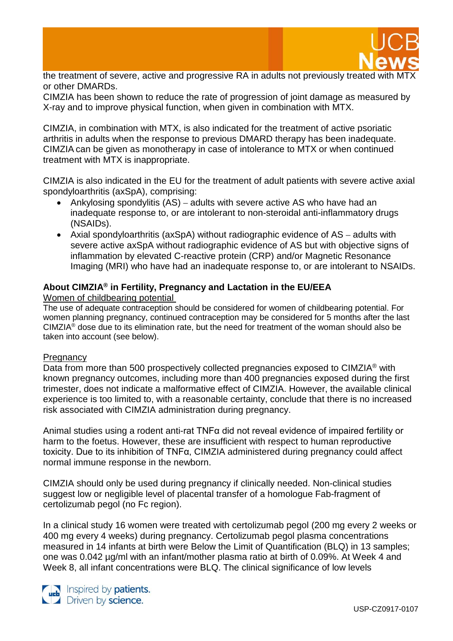

the treatment of severe, active and progressive RA in adults not previously treated with or other DMARDs.

CIMZIA has been shown to reduce the rate of progression of joint damage as measured by X-ray and to improve physical function, when given in combination with MTX.

CIMZIA, in combination with MTX, is also indicated for the treatment of active psoriatic arthritis in adults when the response to previous DMARD therapy has been inadequate. CIMZIA can be given as monotherapy in case of intolerance to MTX or when continued treatment with MTX is inappropriate.

CIMZIA is also indicated in the EU for the treatment of adult patients with severe active axial spondyloarthritis (axSpA), comprising:

- Ankylosing spondylitis (AS) adults with severe active AS who have had an inadequate response to, or are intolerant to non-steroidal anti-inflammatory drugs (NSAIDs).
- Axial spondyloarthritis (axSpA) without radiographic evidence of AS adults with severe active axSpA without radiographic evidence of AS but with objective signs of inflammation by elevated C-reactive protein (CRP) and/or Magnetic Resonance Imaging (MRI) who have had an inadequate response to, or are intolerant to NSAIDs.

# **About CIMZIA® in Fertility, Pregnancy and Lactation in the EU/EEA**

Women of childbearing potential

The use of adequate contraception should be considered for women of childbearing potential. For women planning pregnancy, continued contraception may be considered for 5 months after the last  $CIMZIA<sup>®</sup>$  dose due to its elimination rate, but the need for treatment of the woman should also be taken into account (see below).

# **Pregnancy**

Data from more than 500 prospectively collected pregnancies exposed to CIMZIA<sup>®</sup> with known pregnancy outcomes, including more than 400 pregnancies exposed during the first trimester, does not indicate a malformative effect of CIMZIA. However, the available clinical experience is too limited to, with a reasonable certainty, conclude that there is no increased risk associated with CIMZIA administration during pregnancy.

Animal studies using a rodent anti-rat TNFα did not reveal evidence of impaired fertility or harm to the foetus. However, these are insufficient with respect to human reproductive toxicity. Due to its inhibition of TNFα, CIMZIA administered during pregnancy could affect normal immune response in the newborn.

CIMZIA should only be used during pregnancy if clinically needed. Non-clinical studies suggest low or negligible level of placental transfer of a homologue Fab-fragment of certolizumab pegol (no Fc region).

In a clinical study 16 women were treated with certolizumab pegol (200 mg every 2 weeks or 400 mg every 4 weeks) during pregnancy. Certolizumab pegol plasma concentrations measured in 14 infants at birth were Below the Limit of Quantification (BLQ) in 13 samples; one was 0.042 µg/ml with an infant/mother plasma ratio at birth of 0.09%. At Week 4 and Week 8, all infant concentrations were BLQ. The clinical significance of low levels

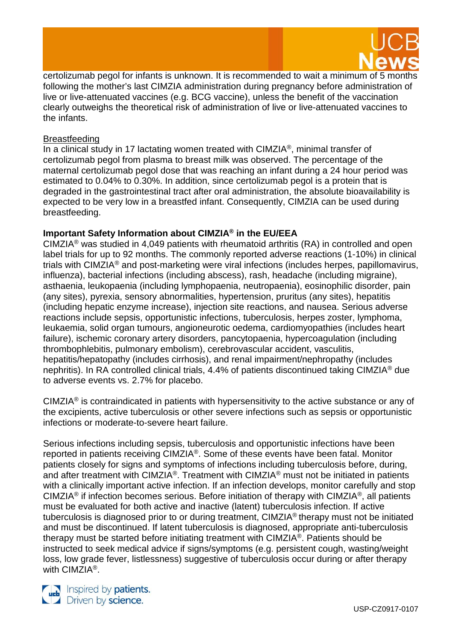

certolizumab pegol for infants is unknown. It is recommended to wait a minimum of 5 months following the mother's last CIMZIA administration during pregnancy before administration of live or live-attenuated vaccines (e.g. BCG vaccine), unless the benefit of the vaccination clearly outweighs the theoretical risk of administration of live or live-attenuated vaccines to the infants.

### **Breastfeeding**

In a clinical study in 17 lactating women treated with CIMZIA®, minimal transfer of certolizumab pegol from plasma to breast milk was observed. The percentage of the maternal certolizumab pegol dose that was reaching an infant during a 24 hour period was estimated to 0.04% to 0.30%. In addition, since certolizumab pegol is a protein that is degraded in the gastrointestinal tract after oral administration, the absolute bioavailability is expected to be very low in a breastfed infant. Consequently, CIMZIA can be used during breastfeeding.

# **Important Safety Information about CIMZIA® in the EU/EEA**

CIMZIA® was studied in 4,049 patients with rheumatoid arthritis (RA) in controlled and open label trials for up to 92 months. The commonly reported adverse reactions (1-10%) in clinical trials with CIMZIA® and post-marketing were viral infections (includes herpes, papillomavirus, influenza), bacterial infections (including abscess), rash, headache (including migraine), asthaenia, leukopaenia (including lymphopaenia, neutropaenia), eosinophilic disorder, pain (any sites), pyrexia, sensory abnormalities, hypertension, pruritus (any sites), hepatitis (including hepatic enzyme increase), injection site reactions, and nausea. Serious adverse reactions include sepsis, opportunistic infections, tuberculosis, herpes zoster, lymphoma, leukaemia, solid organ tumours, angioneurotic oedema, cardiomyopathies (includes heart failure), ischemic coronary artery disorders, pancytopaenia, hypercoagulation (including thrombophlebitis, pulmonary embolism), cerebrovascular accident, vasculitis, hepatitis/hepatopathy (includes cirrhosis), and renal impairment/nephropathy (includes nephritis). In RA controlled clinical trials, 4.4% of patients discontinued taking CIMZIA® due to adverse events vs. 2.7% for placebo.

CIMZIA® is contraindicated in patients with hypersensitivity to the active substance or any of the excipients, active tuberculosis or other severe infections such as sepsis or opportunistic infections or moderate-to-severe heart failure.

Serious infections including sepsis, tuberculosis and opportunistic infections have been reported in patients receiving CIMZIA®. Some of these events have been fatal. Monitor patients closely for signs and symptoms of infections including tuberculosis before, during, and after treatment with CIMZIA<sup>®</sup>. Treatment with CIMZIA<sup>®</sup> must not be initiated in patients with a clinically important active infection. If an infection develops, monitor carefully and stop CIMZIA® if infection becomes serious. Before initiation of therapy with CIMZIA®, all patients must be evaluated for both active and inactive (latent) tuberculosis infection. If active tuberculosis is diagnosed prior to or during treatment, CIMZIA® therapy must not be initiated and must be discontinued. If latent tuberculosis is diagnosed, appropriate anti-tuberculosis therapy must be started before initiating treatment with CIMZIA®. Patients should be instructed to seek medical advice if signs/symptoms (e.g. persistent cough, wasting/weight loss, low grade fever, listlessness) suggestive of tuberculosis occur during or after therapy with CIMZIA<sup>®</sup>.

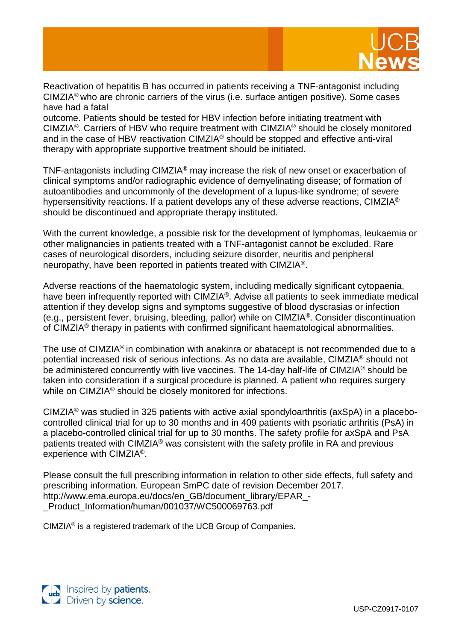

Reactivation of hepatitis B has occurred in patients receiving a TNF-antagonist including CIMZIA® who are chronic carriers of the virus (i.e. surface antigen positive). Some cases have had a fatal

outcome. Patients should be tested for HBV infection before initiating treatment with CIMZIA®. Carriers of HBV who require treatment with CIMZIA® should be closely monitored and in the case of HBV reactivation CIMZIA® should be stopped and effective anti-viral therapy with appropriate supportive treatment should be initiated.

TNF-antagonists including CIMZIA® may increase the risk of new onset or exacerbation of clinical symptoms and/or radiographic evidence of demyelinating disease; of formation of autoantibodies and uncommonly of the development of a lupus-like syndrome; of severe hypersensitivity reactions. If a patient develops any of these adverse reactions, CIMZIA<sup>®</sup> should be discontinued and appropriate therapy instituted.

With the current knowledge, a possible risk for the development of lymphomas, leukaemia or other malignancies in patients treated with a TNF-antagonist cannot be excluded. Rare cases of neurological disorders, including seizure disorder, neuritis and peripheral neuropathy, have been reported in patients treated with CIMZIA®.

Adverse reactions of the haematologic system, including medically significant cytopaenia, have been infrequently reported with CIMZIA<sup>®</sup>. Advise all patients to seek immediate medical attention if they develop signs and symptoms suggestive of blood dyscrasias or infection (e.g., persistent fever, bruising, bleeding, pallor) while on CIMZIA®. Consider discontinuation of CIMZIA® therapy in patients with confirmed significant haematological abnormalities.

The use of CIMZIA® in combination with anakinra or abatacept is not recommended due to a potential increased risk of serious infections. As no data are available, CIMZIA® should not be administered concurrently with live vaccines. The 14-day half-life of CIMZIA® should be taken into consideration if a surgical procedure is planned. A patient who requires surgery while on CIMZIA® should be closely monitored for infections.

CIMZIA® was studied in 325 patients with active axial spondyloarthritis (axSpA) in a placebocontrolled clinical trial for up to 30 months and in 409 patients with psoriatic arthritis (PsA) in a placebo-controlled clinical trial for up to 30 months. The safety profile for axSpA and PsA patients treated with CIMZIA® was consistent with the safety profile in RA and previous experience with CIMZIA®.

Please consult the full prescribing information in relation to other side effects, full safety and prescribing information. European SmPC date of revision December 2017. [http://www.ema.europa.eu/docs/en\\_GB/document\\_library/EPAR\\_-](http://www.ema.europa.eu/docs/en_GB/document_library/EPAR_-_Product_Information/human/001037/WC500069763.pdf) [\\_Product\\_Information/human/001037/WC500069763.pdf](http://www.ema.europa.eu/docs/en_GB/document_library/EPAR_-_Product_Information/human/001037/WC500069763.pdf) 

CIMZIA® is a registered trademark of the UCB Group of Companies.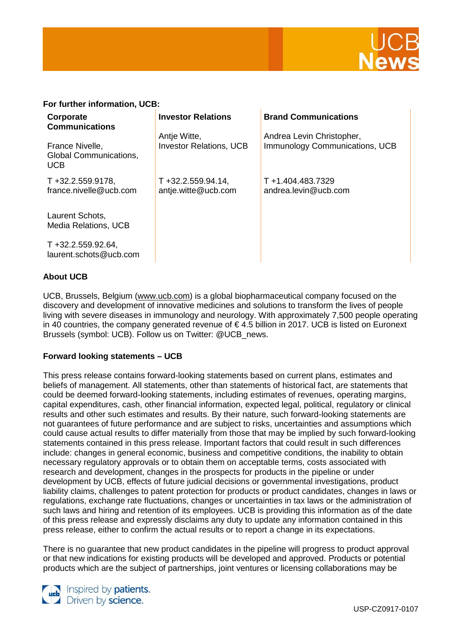

### **For further information, UCB:**

| Corporate<br><b>Communications</b>                             | <b>Investor Relations</b>                      | <b>Brand Communications</b>                                 |
|----------------------------------------------------------------|------------------------------------------------|-------------------------------------------------------------|
| France Nivelle,<br><b>Global Communications,</b><br><b>UCB</b> | Antje Witte,<br><b>Investor Relations, UCB</b> | Andrea Levin Christopher,<br>Immunology Communications, UCB |
| T+32.2.559.9178,<br>france.nivelle@ucb.com                     | $T + 32.2.559.94.14$<br>antje.witte@ucb.com    | T+1.404.483.7329<br>andrea.levin@ucb.com                    |
| Laurent Schots,<br>Media Relations, UCB                        |                                                |                                                             |
| $T + 32.2.559.92.64$<br>laurent.schots@ucb.com                 |                                                |                                                             |

### **About UCB**

UCB, Brussels, Belgium [\(www.ucb.com\)](http://www.ucb.com/) is a global biopharmaceutical company focused on the discovery and development of innovative medicines and solutions to transform the lives of people living with severe diseases in immunology and neurology. With approximately 7,500 people operating in 40 countries, the company generated revenue of € 4.5 billion in 2017. UCB is listed on Euronext Brussels (symbol: UCB). Follow us on Twitter: @UCB\_news.

### **Forward looking statements – UCB**

This press release contains forward-looking statements based on current plans, estimates and beliefs of management. All statements, other than statements of historical fact, are statements that could be deemed forward-looking statements, including estimates of revenues, operating margins, capital expenditures, cash, other financial information, expected legal, political, regulatory or clinical results and other such estimates and results. By their nature, such forward-looking statements are not guarantees of future performance and are subject to risks, uncertainties and assumptions which could cause actual results to differ materially from those that may be implied by such forward-looking statements contained in this press release. Important factors that could result in such differences include: changes in general economic, business and competitive conditions, the inability to obtain necessary regulatory approvals or to obtain them on acceptable terms, costs associated with research and development, changes in the prospects for products in the pipeline or under development by UCB, effects of future judicial decisions or governmental investigations, product liability claims, challenges to patent protection for products or product candidates, changes in laws or regulations, exchange rate fluctuations, changes or uncertainties in tax laws or the administration of such laws and hiring and retention of its employees. UCB is providing this information as of the date of this press release and expressly disclaims any duty to update any information contained in this press release, either to confirm the actual results or to report a change in its expectations.

There is no guarantee that new product candidates in the pipeline will progress to product approval or that new indications for existing products will be developed and approved. Products or potential products which are the subject of partnerships, joint ventures or licensing collaborations may be